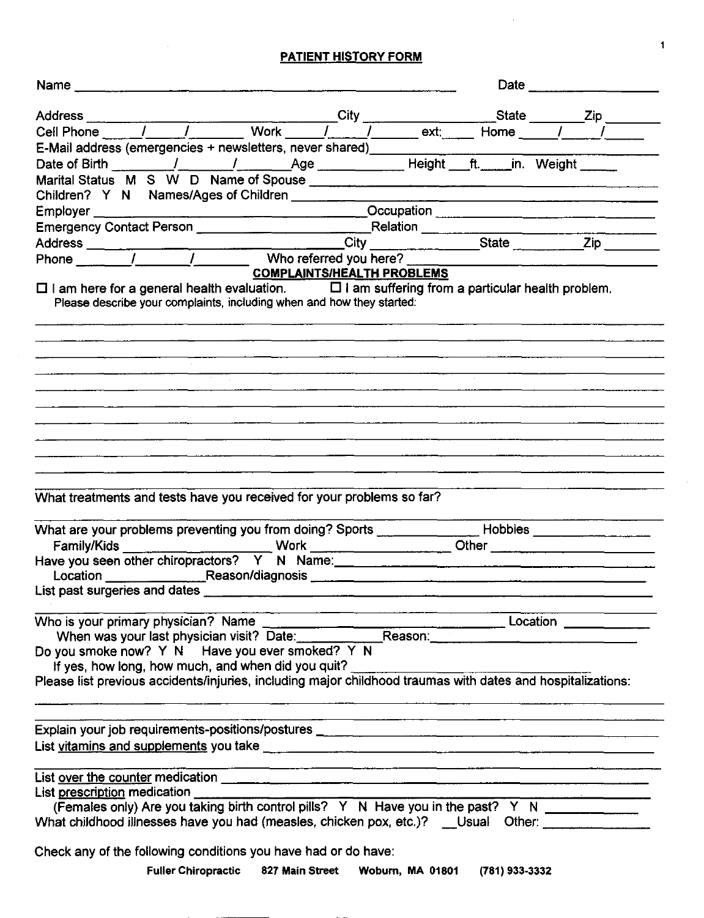# PATIENT HISTORY FORM

|                                                                                                                                                                                                                                |                                   |                                                                                                                       |  | Date _____________________ |
|--------------------------------------------------------------------------------------------------------------------------------------------------------------------------------------------------------------------------------|-----------------------------------|-----------------------------------------------------------------------------------------------------------------------|--|----------------------------|
|                                                                                                                                                                                                                                |                                   |                                                                                                                       |  |                            |
| Address City State Zip City State Zip State Zip State Zip State Zip State Zip State State Zip State Zip State Zip State Zip State State Zip State State State State State State State State State State State State State Stat |                                   |                                                                                                                       |  |                            |
|                                                                                                                                                                                                                                |                                   |                                                                                                                       |  |                            |
|                                                                                                                                                                                                                                |                                   |                                                                                                                       |  |                            |
|                                                                                                                                                                                                                                |                                   |                                                                                                                       |  |                            |
|                                                                                                                                                                                                                                |                                   |                                                                                                                       |  |                            |
|                                                                                                                                                                                                                                |                                   |                                                                                                                       |  |                            |
|                                                                                                                                                                                                                                |                                   |                                                                                                                       |  |                            |
|                                                                                                                                                                                                                                |                                   |                                                                                                                       |  |                            |
|                                                                                                                                                                                                                                |                                   |                                                                                                                       |  |                            |
|                                                                                                                                                                                                                                | <b>COMPLAINTS/HEALTH PROBLEMS</b> |                                                                                                                       |  |                            |
| $\Box$ I am here for a general health evaluation. $\Box$ I am suffering from a particular health problem.<br>Please describe your complaints, including when and how they started:                                             |                                   |                                                                                                                       |  |                            |
|                                                                                                                                                                                                                                |                                   |                                                                                                                       |  |                            |
|                                                                                                                                                                                                                                |                                   |                                                                                                                       |  |                            |
|                                                                                                                                                                                                                                |                                   |                                                                                                                       |  |                            |
|                                                                                                                                                                                                                                |                                   |                                                                                                                       |  |                            |
| What treatments and tests have you received for your problems so far?<br>What are your problems preventing you from doing? Sports ________________Hobbies ___________________                                                  |                                   |                                                                                                                       |  |                            |
|                                                                                                                                                                                                                                |                                   |                                                                                                                       |  |                            |
| Family/Kids Work Other Chiropractors? Y N Name: Other Chiropractors 2 N N Name:                                                                                                                                                |                                   |                                                                                                                       |  |                            |
|                                                                                                                                                                                                                                |                                   |                                                                                                                       |  |                            |
| List past surgeries and dates                                                                                                                                                                                                  |                                   |                                                                                                                       |  |                            |
|                                                                                                                                                                                                                                |                                   | <u> 1980 - Jan Barristo, martin de la provincia de la provincia de la provincia de la provincia de la provincia d</u> |  |                            |
|                                                                                                                                                                                                                                |                                   |                                                                                                                       |  |                            |
|                                                                                                                                                                                                                                |                                   |                                                                                                                       |  |                            |
| Do you smoke now? Y N Have you ever smoked? Y N                                                                                                                                                                                |                                   |                                                                                                                       |  |                            |
| If yes, how long, how much, and when did you quit?<br>Please list previous accidents/injuries, including major childhood traumas with dates and hospitalizations:                                                              |                                   |                                                                                                                       |  |                            |
|                                                                                                                                                                                                                                |                                   | <u> 1980 - Johann Barn, amerikan bernama di sebagai bernama dan bernama di sebagai bernama di sebagai bernama di</u>  |  |                            |
|                                                                                                                                                                                                                                |                                   |                                                                                                                       |  |                            |
|                                                                                                                                                                                                                                |                                   |                                                                                                                       |  |                            |
|                                                                                                                                                                                                                                |                                   |                                                                                                                       |  |                            |
| List prescription medication<br>(Females only) Are you taking birth control pills? Y N Have you in the past? Y N                                                                                                               |                                   |                                                                                                                       |  |                            |
| What childhood illnesses have you had (measles, chicken pox, etc.)? [ Usual Other: [ Conservent manner of North Muslem manner of North Muslem manner of North Muslem manner of North Muslem manner of North Muslem manner of N |                                   |                                                                                                                       |  |                            |
| Check any of the following conditions you have had or do have:                                                                                                                                                                 |                                   |                                                                                                                       |  |                            |
| Fuller Chiropractic 827 Main Street Woburn, MA 01801 (781) 933-3332                                                                                                                                                            |                                   |                                                                                                                       |  |                            |

 $\bar{\alpha}$ 

 $\overline{\mathbf{1}}$ 

 $\mathcal{A}^{\mathcal{A}}$ 

 $\sim 400$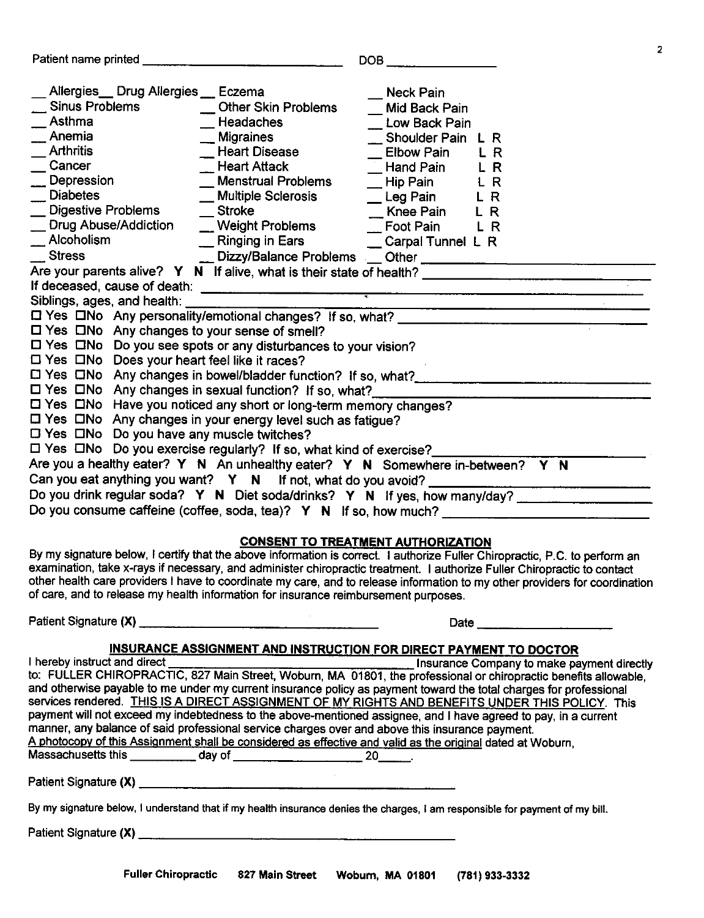|                                                                                                                                                                                                                                                                                                                                                                                                   | UUB.                                                                                                                                                                                                |
|---------------------------------------------------------------------------------------------------------------------------------------------------------------------------------------------------------------------------------------------------------------------------------------------------------------------------------------------------------------------------------------------------|-----------------------------------------------------------------------------------------------------------------------------------------------------------------------------------------------------|
| Allergies __ Drug Allergies __ Eczema<br><b>Sinus Problems</b><br><b>Other Skin Problems</b><br>Asthma<br>Headaches<br>Anemia<br>__ Migraines<br>Arthritis<br><b>Heart Disease</b><br>Cancer<br><b>Heart Attack</b><br>Depression<br><b>Menstrual Problems</b><br><b>Diabetes</b><br>— Multiple Sclerosis<br>__ Digestive Problems<br>Stroke<br><b>Drug Abuse/Addiction</b><br>__ Weight Problems | Neck Pain<br>Mid Back Pain<br>Low Back Pain<br>Shoulder Pain<br>R<br>Elbow Pain<br>R<br>Hand Pain<br>L R<br>$\_$ Hip Pain $\_$<br>L R<br>__ Leg Pain<br>L R<br>Knee Pain<br>L R<br>Foot Pain<br>L R |
| _Alcoholism                                                                                                                                                                                                                                                                                                                                                                                       |                                                                                                                                                                                                     |
| __ Ringing in Ears                                                                                                                                                                                                                                                                                                                                                                                | Carpal Tunnel L R                                                                                                                                                                                   |
| Stress                                                                                                                                                                                                                                                                                                                                                                                            |                                                                                                                                                                                                     |
| Are your parents alive? Y N If alive, what is their state of health? _______________________________                                                                                                                                                                                                                                                                                              |                                                                                                                                                                                                     |
|                                                                                                                                                                                                                                                                                                                                                                                                   |                                                                                                                                                                                                     |
| Siblings, ages, and health:                                                                                                                                                                                                                                                                                                                                                                       |                                                                                                                                                                                                     |
| □ Yes □No Any personality/emotional changes? If so, what?                                                                                                                                                                                                                                                                                                                                         |                                                                                                                                                                                                     |
| □ Yes □No Any changes to your sense of smell?                                                                                                                                                                                                                                                                                                                                                     |                                                                                                                                                                                                     |
| $\square$ Yes $\square$ No $\square$ o you see spots or any disturbances to your vision?                                                                                                                                                                                                                                                                                                          |                                                                                                                                                                                                     |
| □ Yes □No Does your heart feel like it races?                                                                                                                                                                                                                                                                                                                                                     |                                                                                                                                                                                                     |
| [ Yes CINo Any changes in bowel/bladder function? If so, what?                                                                                                                                                                                                                                                                                                                                    |                                                                                                                                                                                                     |
|                                                                                                                                                                                                                                                                                                                                                                                                   |                                                                                                                                                                                                     |
| □ Yes □No Have you noticed any short or long-term memory changes?                                                                                                                                                                                                                                                                                                                                 |                                                                                                                                                                                                     |
| □ Yes □No Any changes in your energy level such as fatigue?                                                                                                                                                                                                                                                                                                                                       |                                                                                                                                                                                                     |
| $\Box$ Yes $\Box$ No Do you have any muscle twitches?                                                                                                                                                                                                                                                                                                                                             |                                                                                                                                                                                                     |
| □ Yes □No Do you exercise regularly? If so, what kind of exercise?                                                                                                                                                                                                                                                                                                                                |                                                                                                                                                                                                     |
| Are you a healthy eater? Y N An unhealthy eater? Y N Somewhere in-between? Y N                                                                                                                                                                                                                                                                                                                    |                                                                                                                                                                                                     |
| Can you eat anything you want? Y N If not, what do you avoid?                                                                                                                                                                                                                                                                                                                                     |                                                                                                                                                                                                     |
| Do you drink regular soda? Y N Diet soda/drinks? Y N If yes, how many/day?                                                                                                                                                                                                                                                                                                                        |                                                                                                                                                                                                     |
| Do you consume caffeine (coffee, soda, tea)? Y N If so, how much?                                                                                                                                                                                                                                                                                                                                 |                                                                                                                                                                                                     |
|                                                                                                                                                                                                                                                                                                                                                                                                   |                                                                                                                                                                                                     |
|                                                                                                                                                                                                                                                                                                                                                                                                   |                                                                                                                                                                                                     |

**DOD** 

### CONSENT TO TREATMENT AUTHORIZATION

By my signature below, I certify that the above information is correct. I authorize Fuller Chiropractic, P.C. to pertorm an examination, take x-rays if necessary, and administer chiropractic treatment. I authorize Fuller Chiropractic to contact other health care providers I have to coordinate my care, and to release information to my other providers for coordination of care, and to release my health information for insurance reimbursement purposes.

| Patient Signature (X) | ----- | Date |
|-----------------------|-------|------|
|-----------------------|-------|------|

Patient name printed

2

## INSURANCE ASSIGNMENT AND INSTRUCTION FOR DIRECT PAYMENT TO DOCTOR

| I hereby instruct and direct                                                                                                                                                                                                         | Insurance Company to make payment directly |
|--------------------------------------------------------------------------------------------------------------------------------------------------------------------------------------------------------------------------------------|--------------------------------------------|
| to: FULLER CHIROPRACTIC, 827 Main Street, Woburn, MA 01801, the professional or chiropractic benefits allowable,                                                                                                                     |                                            |
| and otherwise payable to me under my current insurance policy as payment toward the total charges for professional                                                                                                                   |                                            |
| services rendered. THIS IS A DIRECT ASSIGNMENT OF MY RIGHTS AND BENEFITS UNDER THIS POLICY. This                                                                                                                                     |                                            |
| payment will not exceed my indebtedness to the above-mentioned assignee, and I have agreed to pay, in a current                                                                                                                      |                                            |
| manner, any balance of said professional service charges over and above this insurance payment.                                                                                                                                      |                                            |
| A photocopy of this Assignment shall be considered as effective and valid as the original dated at Woburn,                                                                                                                           |                                            |
| Massachusetts this <b>container that the container of the container of the contact of the contact of the contact of the contact of the contact of the contact of the contact of the contact of the contact of the contact of the</b> | 20                                         |
| Patient Signature (X) ______                                                                                                                                                                                                         |                                            |
| By my signature below, I understand that if my health insurance denies the charges, I am responsible for payment of my bill.                                                                                                         |                                            |
|                                                                                                                                                                                                                                      |                                            |

Patient Signature (X)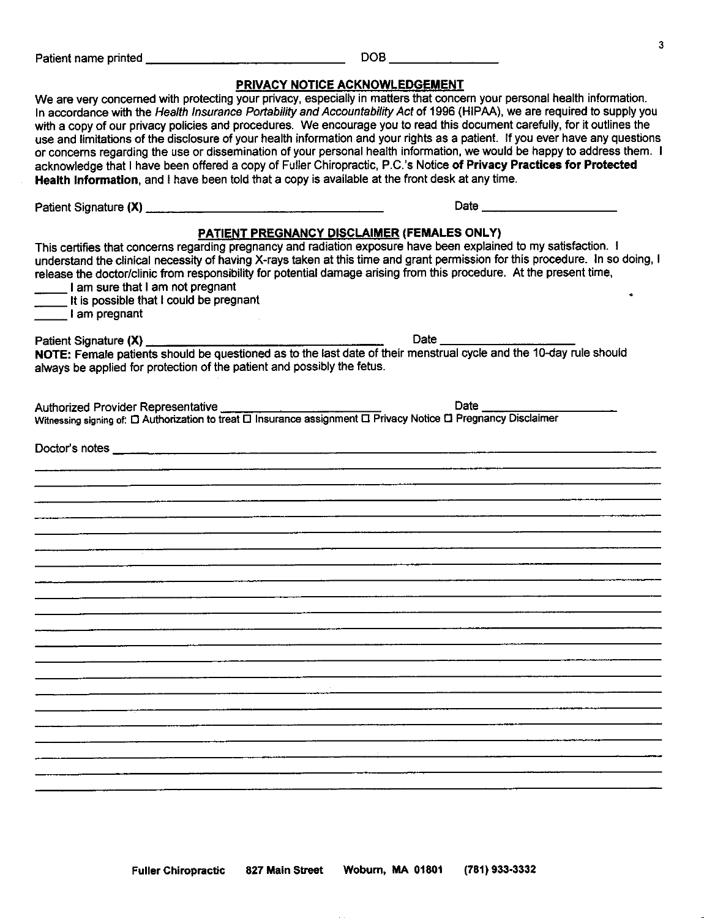| Patient name printed<br>. | DOB |
|---------------------------|-----|
|---------------------------|-----|

# PRIVACY NOTICE ACKNOWLEDGEMENT

| We are very concerned with protecting your privacy, especially in matters that concern your personal health information.<br>In accordance with the Health Insurance Portability and Accountability Act of 1996 (HIPAA), we are required to supply you<br>with a copy of our privacy policies and procedures. We encourage you to read this document carefully, for it outlines the<br>use and limitations of the disclosure of your health information and your rights as a patient. If you ever have any questions<br>or concerns regarding the use or dissemination of your personal health information, we would be happy to address them. I<br>acknowledge that I have been offered a copy of Fuller Chiropractic, P.C.'s Notice of Privacy Practices for Protected<br>Health Information, and I have been told that a copy is available at the front desk at any time. |
|-----------------------------------------------------------------------------------------------------------------------------------------------------------------------------------------------------------------------------------------------------------------------------------------------------------------------------------------------------------------------------------------------------------------------------------------------------------------------------------------------------------------------------------------------------------------------------------------------------------------------------------------------------------------------------------------------------------------------------------------------------------------------------------------------------------------------------------------------------------------------------|
|                                                                                                                                                                                                                                                                                                                                                                                                                                                                                                                                                                                                                                                                                                                                                                                                                                                                             |
| <b>PATIENT PREGNANCY DISCLAIMER (FEMALES ONLY)</b><br>This certifies that concerns regarding pregnancy and radiation exposure have been explained to my satisfaction. I<br>understand the clinical necessity of having X-rays taken at this time and grant permission for this procedure. In so doing, I<br>release the doctor/clinic from responsibility for potential damage arising from this procedure. At the present time,<br>I am sure that I am not pregnant<br>It is possible that I could be pregnant<br>Lam pregnant                                                                                                                                                                                                                                                                                                                                             |
|                                                                                                                                                                                                                                                                                                                                                                                                                                                                                                                                                                                                                                                                                                                                                                                                                                                                             |
| always be applied for protection of the patient and possibly the fetus.                                                                                                                                                                                                                                                                                                                                                                                                                                                                                                                                                                                                                                                                                                                                                                                                     |
|                                                                                                                                                                                                                                                                                                                                                                                                                                                                                                                                                                                                                                                                                                                                                                                                                                                                             |
|                                                                                                                                                                                                                                                                                                                                                                                                                                                                                                                                                                                                                                                                                                                                                                                                                                                                             |
|                                                                                                                                                                                                                                                                                                                                                                                                                                                                                                                                                                                                                                                                                                                                                                                                                                                                             |
|                                                                                                                                                                                                                                                                                                                                                                                                                                                                                                                                                                                                                                                                                                                                                                                                                                                                             |
|                                                                                                                                                                                                                                                                                                                                                                                                                                                                                                                                                                                                                                                                                                                                                                                                                                                                             |
|                                                                                                                                                                                                                                                                                                                                                                                                                                                                                                                                                                                                                                                                                                                                                                                                                                                                             |
|                                                                                                                                                                                                                                                                                                                                                                                                                                                                                                                                                                                                                                                                                                                                                                                                                                                                             |
|                                                                                                                                                                                                                                                                                                                                                                                                                                                                                                                                                                                                                                                                                                                                                                                                                                                                             |
|                                                                                                                                                                                                                                                                                                                                                                                                                                                                                                                                                                                                                                                                                                                                                                                                                                                                             |
|                                                                                                                                                                                                                                                                                                                                                                                                                                                                                                                                                                                                                                                                                                                                                                                                                                                                             |
|                                                                                                                                                                                                                                                                                                                                                                                                                                                                                                                                                                                                                                                                                                                                                                                                                                                                             |
|                                                                                                                                                                                                                                                                                                                                                                                                                                                                                                                                                                                                                                                                                                                                                                                                                                                                             |
|                                                                                                                                                                                                                                                                                                                                                                                                                                                                                                                                                                                                                                                                                                                                                                                                                                                                             |
|                                                                                                                                                                                                                                                                                                                                                                                                                                                                                                                                                                                                                                                                                                                                                                                                                                                                             |

3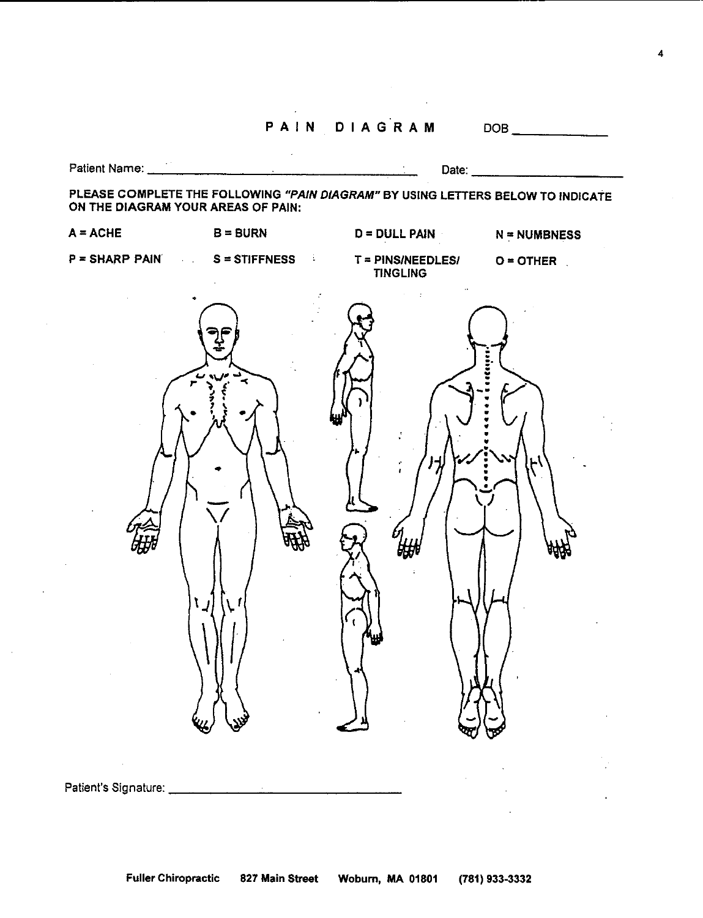PAIN DIAGRAM DOB

| $B = B \cup RN$ $D = D \cup LL$ $P A IN$ $N = NUMBNESS$<br>$P =$ SHARP PAIN $S =$ STIFFNESS $T =$ PINS/NEEDLES/ $Q =$ OTHER<br><b>TINGLING</b><br>$\sigma_{\rm{max}}=2.5$<br>Ł<br>┙<br>$\mathbf{r}$ |                                                                                                                       |  |  | Date: ________________ |  |
|-----------------------------------------------------------------------------------------------------------------------------------------------------------------------------------------------------|-----------------------------------------------------------------------------------------------------------------------|--|--|------------------------|--|
|                                                                                                                                                                                                     | PLEASE COMPLETE THE FOLLOWING "PAIN DIAGRAM" BY USING LETTERS BELOW TO INDICATE<br>ON THE DIAGRAM YOUR AREAS OF PAIN: |  |  |                        |  |
|                                                                                                                                                                                                     | $A = ACHE$                                                                                                            |  |  |                        |  |
|                                                                                                                                                                                                     |                                                                                                                       |  |  |                        |  |
|                                                                                                                                                                                                     | Patient's Signature: _                                                                                                |  |  |                        |  |

 $\mathcal{L}_{\mathcal{A}}$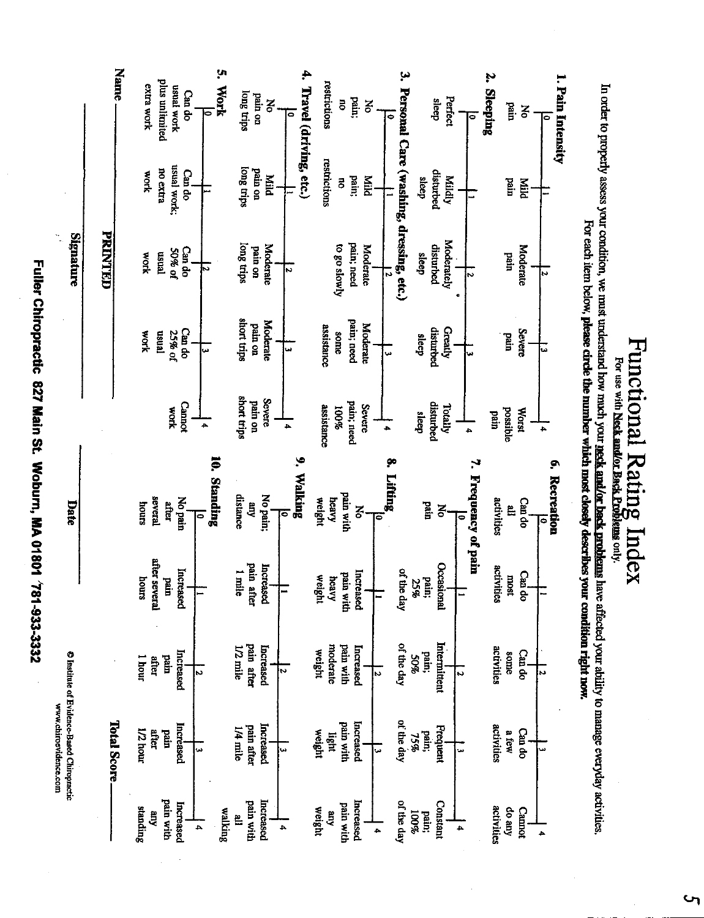Fuller Chiropractic 827 Main St. Woburn, MA 01801 781-933-3332

**Name** 5. Work 4. Travel (driving, etc.) 3. Personal Care (washing, dressing, etc.) 2. Sleeping 1. Pain Intensity plus unlimited extra work restrictions nsual work Can do sdin ano pain on Periect pain, sleep ā Š Š uund š restrictions usual work; Can do long trips **Arow** no extra pain on disturbed PIIM pain; Miid sleep **ApriM** main pilid  $\bar{z}$ **PRIPTED** Signature **Moderately** Can do<br>50% of long trips pain; need disturbed **Cosos** Moderate pain on Moderate Moderate sleep Mork ransn ured short trips pain; need **Moderate** bain on **Moderate** assistance **Greatly Severe** Can do<br>25% of disturbed **Work** rensn some **sleep** ured  $\overline{\phantom{a}}$ short trips **Severe** disturbed Cannot tro und pain; need **Severe** %00I Totally work assistance possible Worst **sleep** und  $\overline{a}$  $\overline{\phantom{a}}$  $\overline{\phantom{a}}$  $\overline{4}$ 10. Standing 9. Walking 8. Lifting 7. Frequency of pain 6. Recreation pain with No pain distance No pain; **several** weight heavy Can do activities med Date atter **E** smou Š  $\mathbf{S}$ Ê after severa Occasional pain after Increased activities 1 mile Increased<br>pain with of the day Increased Can do pours weight most Pain heavy pain; 25% pain after<br>1/2 mile of the day Internatient Increased moderate pain with Increased activities weight Can do pain; some C Institute of Evidence-Based Chiropractic Increased 20% 1 hour after **Tain** ू  $\overline{1}$ N www.chiroevidence.com of the day Total Score. pain after<br>1/4 mile pain with Increased Frequent Increased Increased activities Can do weight after Impd pain;<br>75% a few mou Z/I nghi .<br>اما ್ಷ pain with pain with Increased Increased of the day Constant Increased piw ured walking weight activities **Cannot** standing pain; do any Kuma %00I Kura Ë  $\overline{1}$  $\overline{4}$  $\overline{4}$  $\overline{\phantom{a}}$  $\overline{\phantom{0}}$ 

 $\overline{C}$ 

In order to properly assess your condition, we must understand how much your **neck and/or back problems** have affected your ability to manage everyday activities.

Functional Rating Index<br>For use with Neek and/or Back Problems only.

For each item below, please circle the number which most closely describes your condition right now.